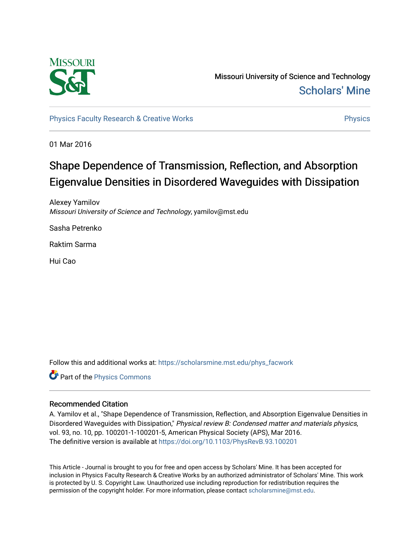

Missouri University of Science and Technology [Scholars' Mine](https://scholarsmine.mst.edu/) 

[Physics Faculty Research & Creative Works](https://scholarsmine.mst.edu/phys_facwork) **Physics** [Physics](https://scholarsmine.mst.edu/phys) **Physics** 

01 Mar 2016

# Shape Dependence of Transmission, Reflection, and Absorption Eigenvalue Densities in Disordered Waveguides with Dissipation

Alexey Yamilov Missouri University of Science and Technology, yamilov@mst.edu

Sasha Petrenko

Raktim Sarma

Hui Cao

Follow this and additional works at: [https://scholarsmine.mst.edu/phys\\_facwork](https://scholarsmine.mst.edu/phys_facwork?utm_source=scholarsmine.mst.edu%2Fphys_facwork%2F1031&utm_medium=PDF&utm_campaign=PDFCoverPages) 

Part of the [Physics Commons](http://network.bepress.com/hgg/discipline/193?utm_source=scholarsmine.mst.edu%2Fphys_facwork%2F1031&utm_medium=PDF&utm_campaign=PDFCoverPages)

# Recommended Citation

A. Yamilov et al., "Shape Dependence of Transmission, Reflection, and Absorption Eigenvalue Densities in Disordered Waveguides with Dissipation," Physical review B: Condensed matter and materials physics, vol. 93, no. 10, pp. 100201-1-100201-5, American Physical Society (APS), Mar 2016. The definitive version is available at <https://doi.org/10.1103/PhysRevB.93.100201>

This Article - Journal is brought to you for free and open access by Scholars' Mine. It has been accepted for inclusion in Physics Faculty Research & Creative Works by an authorized administrator of Scholars' Mine. This work is protected by U. S. Copyright Law. Unauthorized use including reproduction for redistribution requires the permission of the copyright holder. For more information, please contact [scholarsmine@mst.edu](mailto:scholarsmine@mst.edu).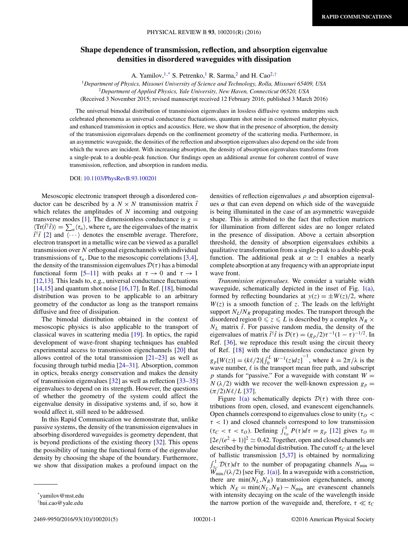# **Shape dependence of transmission, reflection, and absorption eigenvalue densities in disordered waveguides with dissipation**

A. Yamilov,  $1,^*$  S. Petrenko, R. Sarma, and H. Cao<sup>2,†</sup>

<sup>1</sup>*Department of Physics, Missouri University of Science and Technology, Rolla, Missouri 65409, USA*

<sup>2</sup>*Department of Applied Physics, Yale University, New Haven, Connecticut 06520, USA*

(Received 3 November 2015; revised manuscript received 12 February 2016; published 3 March 2016)

The universal bimodal distribution of transmission eigenvalues in lossless diffusive systems underpins such celebrated phenomena as universal conductance fluctuations, quantum shot noise in condensed matter physics, and enhanced transmission in optics and acoustics. Here, we show that in the presence of absorption, the density of the transmission eigenvalues depends on the confinement geometry of the scattering media. Furthermore, in an asymmetric waveguide, the densities of the reflection and absorption eigenvalues also depend on the side from which the waves are incident. With increasing absorption, the density of absorption eigenvalues transforms from a single-peak to a double-peak function. Our findings open an additional avenue for coherent control of wave transmission, reflection, and absorption in random media.

DOI: [10.1103/PhysRevB.93.100201](http://dx.doi.org/10.1103/PhysRevB.93.100201)

Mesoscopic electronic transport through a disordered conductor can be described by a  $N \times N$  transmission matrix  $\hat{t}$ which relates the amplitudes of *N* incoming and outgoing transverse modes [\[1\]](#page-4-0). The dimensionless conductance is  $g =$  $\langle \text{Tr}(\hat{t}^\dagger \hat{t}) \rangle = \sum_n \langle \tau_n \rangle$ , where  $\tau_n$  are the eigenvalues of the matrix  $\hat{t}^{\dagger}$  $\hat{t}$  [\[2\]](#page-4-0) and  $\langle \cdots \rangle$  denotes the ensemble average. Therefore, electron transport in a metallic wire can be viewed as a parallel transmission over *N* orthogonal eigenchannels with individual transmissions of  $\tau_n$ . Due to the mesoscopic correlations [\[3,4\]](#page-4-0), the density of the transmission eigenvalues  $\mathcal{D}(\tau)$  has a bimodal functional form [\[5–11\]](#page-4-0) with peaks at  $\tau \to 0$  and  $\tau \to 1$ [\[12,13\]](#page-4-0). This leads to, e.g., universal conductance fluctuations  $[14,15]$  and quantum shot noise  $[16,17]$ . In Ref.  $[18]$ , bimodal distribution was proven to be applicable to an arbitrary geometry of the conductor as long as the transport remains diffusive and free of dissipation.

The bimodal distribution obtained in the context of mesoscopic physics is also applicable to the transport of classical waves in scattering media [\[19\]](#page-5-0). In optics, the rapid development of wave-front shaping techniques has enabled experimental access to transmission eigenchannels [\[20\]](#page-5-0) that allows control of the total transmission  $[21–23]$  as well as focusing through turbid media [\[24–31\]](#page-5-0). Absorption, common in optics, breaks energy conservation and makes the density of transmission eigenvalues [\[32\]](#page-5-0) as well as reflection [\[33–35\]](#page-5-0) eigenvalues to depend on its strength. However, the questions of whether the geometry of the system could affect the eigenvalue density in dissipative systems and, if so, how it would affect it, still need to be addressed.

In this Rapid Communication we demonstrate that, unlike passive systems, the density of the transmission eigenvalues in absorbing disordered waveguides is geometry dependent, that is beyond predictions of the existing theory  $[32]$ . This opens the possibility of tuning the functional form of the eigenvalue density by choosing the shape of the boundary. Furthermore, we show that dissipation makes a profound impact on the

2469-9950/2016/93(10)/100201(5) 100201-1 ©2016 American Physical Society

densities of reflection eigenvalues *ρ* and absorption eigenvalues  $\alpha$  that can even depend on which side of the waveguide is being illuminated in the case of an asymmetric waveguide shape. This is attributed to the fact that reflection matrices for illumination from different sides are no longer related in the presence of dissipation. Above a certain absorption threshold, the density of absorption eigenvalues exhibits a qualitative transformation from a single-peak to a double-peak function. The additional peak at  $\alpha \simeq 1$  enables a nearly complete absorption at any frequency with an appropriate input wave front.

*Transmission eigenvalues.* We consider a variable width waveguide, schematically depicted in the inset of Fig. [1\(a\),](#page-2-0) formed by reflecting boundaries at  $y(z) = \pm W(z)/2$ , where  $W(z)$  is a smooth function of *z*. The leads on the left/right support  $N_L/N_R$  propagating modes. The transport through the disordered region  $0 \le z \le L$  is described by a complex  $N_R \times$  $N_L$  matrix  $\hat{t}$ . For passive random media, the density of the eigenvalues of matrix  $\hat{t}^{\dagger} \hat{t}$  is  $\mathcal{D}(\tau) = (g_p/2)\tau^{-1}(1-\tau)^{-1/2}$ . In Ref. [\[36\]](#page-5-0), we reproduce this result using the circuit theory of Ref. [\[18\]](#page-5-0) with the dimensionless conductance given by  $g_p[W(z)] = (k\ell/2)[\int_0^L W^{-1}(z)dz]^{-1}$ , where  $k = 2\pi/\lambda$  is the wave number,  $\ell$  is the transport mean free path, and subscript  $p$  stands for "passive." For a waveguide with constant  $W =$ *N* ( $\lambda$ /2) width we recover the well-known expression  $g_p =$  $(\pi/2)N\ell/L$  [\[37\]](#page-5-0).

Figure [1\(a\)](#page-2-0) schematically depicts  $\mathcal{D}(\tau)$  with three contributions from open, closed, and evanescent eigenchannels. Open channels correspond to eigenvalues close to unity ( $\tau$ <sup> $\sigma$ </sup> < *τ <* 1) and closed channels correspond to low transmission  $(\tau_C < \tau < \tau_O)$ . Defining  $\int_{\tau_O}^{1} P(\tau) d\tau = g_p$  [\[12\]](#page-4-0) gives  $\tau_O \equiv$  $[2e/(e^2 + 1)]^2 \simeq 0.42$ . Together, open and closed channels are described by the bimodal distribution. The cutoff  $\tau_C$  at the level of ballistic transmission [\[5,](#page-4-0)[37\]](#page-5-0) is obtained by normalizing  $\int_{\tau_c}^{1} D(\tau) d\tau$  to the number of propagating channels  $N_{\text{min}} =$  $W_{\text{min}}^c/(\lambda/2)$  [see Fig. [1\(a\)\]](#page-2-0). In a waveguide with a constriction, there are  $\min(N_L, N_R)$  transmission eigenchannels, among which  $N_E = \min(N_L, N_R) - N_{\min}$  are evanescent channels with intensity decaying on the scale of the wavelength inside the narrow portion of the waveguide and, therefore,  $\tau \ll \tau_C$ 

<sup>\*</sup>yamilov@mst.edu

<sup>†</sup> hui.cao@yale.edu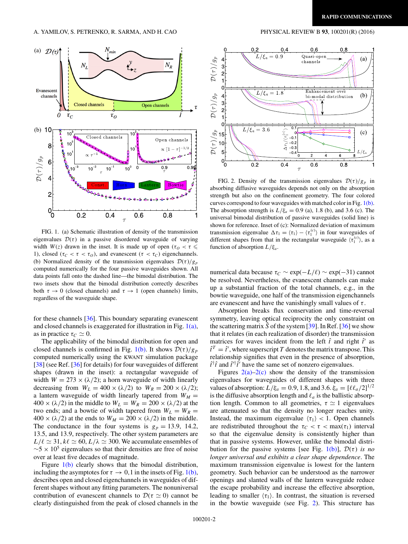<span id="page-2-0"></span>

FIG. 1. (a) Schematic illustration of density of the transmission eigenvalues  $\mathcal{D}(\tau)$  in a passive disordered waveguide of varying width  $W(z)$  drawn in the inset. It is made up of open  $(\tau_o < \tau \leq$ 1), closed ( $\tau_C < \tau < \tau_O$ ), and evanescent ( $\tau < \tau_C$ ) eigenchannels. (b) Normalized density of the transmission eigenvalues  $\mathcal{D}(\tau)/g_p$ computed numerically for the four passive waveguides shown. All data points fall onto the dashed line—the bimodal distribution. The two insets show that the bimodal distribution correctly describes both  $\tau \to 0$  (closed channels) and  $\tau \to 1$  (open channels) limits, regardless of the waveguide shape.

for these channels [\[36\]](#page-5-0). This boundary separating evanescent and closed channels is exaggerated for illustration in Fig. 1(a), as in practice  $\tau_C \simeq 0$ .

The applicability of the bimodal distribution for open and closed channels is confirmed in Fig. 1(b). It shows  $\mathcal{D}(\tau)/g_p$ computed numerically using the KWANT simulation package [\[38\]](#page-5-0) (see Ref. [\[36\]](#page-5-0) for details) for four waveguides of different shapes (drawn in the inset): a rectangular waveguide of width  $W = 273 \times (\lambda/2)$ ; a horn waveguide of width linearly decreasing from  $W_L = 400 \times (\lambda/2)$  to  $W_R = 200 \times (\lambda/2)$ ; a lantern waveguide of width linearly tapered from  $W_M =$  $400 \times (\lambda/2)$  in the middle to  $W_L = W_R = 200 \times (\lambda/2)$  at the two ends; and a bowtie of width tapered from  $W_L = W_R =$  $400 \times (\lambda/2)$  at the ends to  $W_M = 200 \times (\lambda/2)$  in the middle. The conductance in the four systems is  $g_p = 13.9$ , 14.2, 13.5, and 13*.*9, respectively. The other system parameters are  $L/\ell \simeq 31, k\ell \simeq 60, L/\lambda \simeq 300$ . We accumulate ensembles of  $\sim$ 5 × 10<sup>5</sup> eigenvalues so that their densities are free of noise over at least five decades of magnitude.

Figure 1(b) clearly shows that the bimodal distribution, including the asymptotes for  $\tau \to 0, 1$  in the insets of Fig. 1(b), describes open and closed eigenchannels in waveguides of different shapes without any fitting parameters. The nonuniversal contribution of evanescent channels to  $\mathcal{D}(\tau \simeq 0)$  cannot be clearly distinguished from the peak of closed channels in the



FIG. 2. Density of the transmission eigenvalues  $\mathcal{D}(\tau)/g_p$  in absorbing diffusive waveguides depends not only on the absorption strength but also on the confinement geometry. The four colored curves correspond to four waveguides with matched color in Fig. 1(b). The absorption strength is  $L/\xi_a = 0.9$  (a), 1.8 (b), and 3.6 (c). The universal bimodal distribution of passive waveguides (solid line) is shown for reference. Inset of (c): Normalized deviation of maximum transmission eigenvalue  $\Delta \tau_1 = \langle \tau_1 \rangle - \langle \tau_1^{(c)} \rangle$  in four waveguides of different shapes from that in the rectangular waveguide  $\langle \tau_1^{(c)} \rangle$ , as a function of absorption *L/ξa* .

numerical data because  $τ<sub>C</sub> ~ exp(−L/ℓ) ~ exp(−31)$  cannot be resolved. Nevertheless, the evanescent channels can make up a substantial fraction of the total channels, e.g., in the bowtie waveguide, one half of the transmission eigenchannels are evanescent and have the vanishingly small values of *τ* .

Absorption breaks flux conservation and time-reversal symmetry, leaving optical reciprocity the only constraint on the scattering matrix  $\hat{S}$  of the system [\[39\]](#page-5-0). In Ref. [\[36\]](#page-5-0) we show that it relates (in each realization of disorder) the transmission matrices for waves incident from the left  $\hat{t}$  and right  $\hat{t}'$  as  $\hat{t}^T = \hat{t}'$ , where superscript *T* denotes the matrix transpose. This relationship signifies that even in the presence of absorption,  $\hat{t}^{\dagger} \hat{t}$  and  $\hat{t}'^{\dagger} \hat{t}'$  have the same set of nonzero eigenvalues.

Figures  $2(a)-2(c)$  show the density of the transmission eigenvalues for waveguides of different shapes with three values of absorption:  $L/\xi_a = 0.9, 1.8, \text{ and } 3.6, \xi_a = [\ell \ell_a/2]^{1/2}$ is the diffusive absorption length and  $\ell_a$  is the ballistic absorption length. Common to all geometries,  $\tau \simeq 1$  eigenvalues are attenuated so that the density no longer reaches unity. Instead, the maximum eigenvalue  $\langle \tau_1 \rangle$  < 1. Open channels are redistributed throughout the  $\tau_C < \tau < \max(\tau_1)$  interval so that the eigenvalue density is consistently higher than that in passive systems. However, unlike the bimodal distribution for the passive systems [see Fig.  $1(b)$ ],  $\mathcal{D}(\tau)$  *is no longer universal and exhibits a clear shape dependence*. The maximum transmission eigenvalue is lowest for the lantern geometry. Such behavior can be understood as the narrower openings and slanted walls of the lantern waveguide reduce the escape probability and increase the effective absorption, leading to smaller  $\langle \tau_1 \rangle$ . In contrast, the situation is reversed in the bowtie waveguide (see Fig. 2). This structure has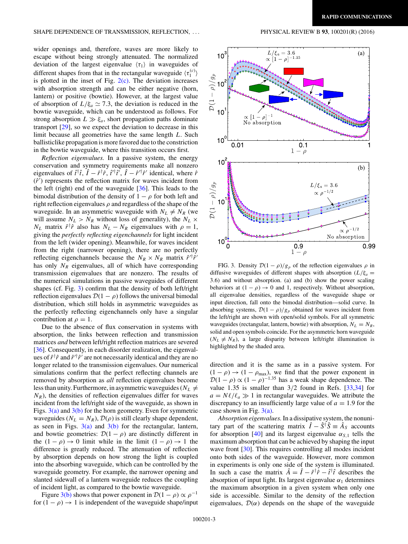### <span id="page-3-0"></span>SHAPE DEPENDENCE OF TRANSMISSION, REFLECTION, . . . PHYSICAL REVIEW B **93**, 100201(R) (2016)

wider openings and, therefore, waves are more likely to escape without being strongly attenuated. The normalized deviation of the largest eigenvalue  $\langle \tau_1 \rangle$  in waveguides of different shapes from that in the rectangular waveguide  $\langle \tau_1^{(c)} \rangle$ is plotted in the inset of Fig.  $2(c)$ . The deviation increases with absorption strength and can be either negative (horn, lantern) or positive (bowtie). However, at the largest value of absorption of  $L/\xi_a \simeq 7.3$ , the deviation is reduced in the bowtie waveguide, which can be understood as follows. For strong absorption  $L \gg \xi_a$ , short propagation paths dominate transport [\[29\]](#page-5-0), so we expect the deviation to decrease in this limit because all geometries have the same length *L*. Such ballisticlike propagation is more favored due to the constriction in the bowtie waveguide, where this transition occurs first.

*Reflection eigenvalues.* In a passive system, the energy conservation and symmetry requirements make all nonzero eigenvalues of  $\hat{t}^{\dagger}\hat{t}$ ,  $\hat{I} - \hat{r}^{\dagger}\hat{r}$ ,  $\hat{t}'^{\dagger}\hat{t}'$ ,  $\hat{I} - \hat{r}'^{\dagger}\hat{r}'$  identical, where  $\hat{r}$  $(\hat{r}')$  represents the reflection matrix for waves incident from the left (right) end of the waveguide [\[36\]](#page-5-0). This leads to the bimodal distribution of the density of  $1 - \rho$  for both left and right reflection eigenvalues *ρ* and regardless of the shape of the waveguide. In an asymmetric waveguide with  $N_L \neq N_R$  (we will assume  $N_L > N_R$  without loss of generality), the  $N_L \times$  $N_L$  matrix  $\hat{r}^\dagger \hat{r}$  also has  $N_L - N_R$  eigenvalues with  $\rho = 1$ , giving the *perfectly reflecting eigenchannels* for light incident from the left (wider opening). Meanwhile, for waves incident from the right (narrower opening), there are no perfectly reflecting eigenchannels because the  $N_R \times N_R$  matrix  $\hat{r}^{\prime \dagger} \hat{r}^{\prime}$ has only  $N_R$  eigenvalues, all of which have corresponding transmission eigenvalues that are nonzero. The results of the numerical simulations in passive waveguides of different shapes (cf. Fig. 3) confirm that the density of both left/right reflection eigenvalues  $\mathcal{D}(1 - \rho)$  follows the universal bimodal distribution, which still holds in asymmetric waveguides as the perfectly reflecting eigenchannels only have a singular contribution at  $\rho = 1$ .

Due to the absence of flux conservation in systems with absorption, the links between reflection and transmission matrices *and* between left/right reflection matrices are severed [\[36\]](#page-5-0). Consequently, in each disorder realization, the eigenvalues of  $\hat{r}^{\dagger} \hat{r}$  and  $\hat{r}'^{\dagger} \hat{r}'$  are not necessarily identical and they are no longer related to the transmission eigenvalues. Our numerical simulations confirm that the perfect reflecting channels are removed by absorption as *all* reflection eigenvalues become less than unity. Furthermore, in asymmetric waveguides ( $N_L \neq$  $N_R$ ), the densities of reflection eigenvalues differ for waves incident from the left/right side of the waveguide, as shown in Figs.  $3(a)$  and  $3(b)$  for the horn geometry. Even for symmetric waveguides  $(N_L = N_R)$ ,  $\mathcal{D}(\rho)$  is still clearly shape dependent, as seen in Figs.  $3(a)$  and  $3(b)$  for the rectangular, lantern, and bowtie geometries:  $\mathcal{D}(1 - \rho)$  are distinctly different in the  $(1 - \rho) \rightarrow 0$  limit while in the limit  $(1 - \rho) \rightarrow 1$  the difference is greatly reduced. The attenuation of reflection by absorption depends on how strong the light is coupled into the absorbing waveguide, which can be controlled by the waveguide geometry. For example, the narrower opening and slanted sidewall of a lantern waveguide reduces the coupling of incident light, as compared to the bowtie waveguide.

Figure 3(b) shows that power exponent in  $\mathcal{D}(1 - \rho) \propto \rho^{-1}$ for  $(1 - \rho) \rightarrow 1$  is independent of the waveguide shape/input



FIG. 3. Density  $\mathcal{D}(1 - \rho)/g_p$  of the reflection eigenvalues  $\rho$  in diffusive waveguides of different shapes with absorption  $(L/\xi_a =$ 3*.*6) and without absorption. (a) and (b) show the power scaling behaviors at  $(1 - \rho) \rightarrow 0$  and 1, respectively. Without absorption, all eigenvalue densities, regardless of the waveguide shape or input direction, fall onto the bimodal distribution—solid curve. In absorbing systems,  $\mathcal{D}(1 - \rho)/g_p$  obtained for waves incident from the left/right are shown with open/solid symbols. For all symmetric waveguides (rectangular, lantern, bowtie) with absorption,  $N_L = N_R$ , solid and open symbols coincide. For the asymmetric horn waveguide  $(N_L \neq N_R)$ , a large disparity between left/right illumination is highlighted by the shaded area.

direction and it is the same as in a passive system. For  $(1 - \rho) \rightarrow (1 - \rho_{\text{max}})$ , we find that the power exponent in  $\mathcal{D}(1 - \rho) \propto (1 - \rho)^{-1.35}$  has a weak shape dependence. The value 1*.*35 is smaller than 3*/*2 found in Refs. [\[33,34\]](#page-5-0) for  $a = N\ell/\ell_a \gg 1$  in rectangular waveguides. We attribute the discrepancy to an insufficiently large value of  $a = 1.9$  for the case shown in Fig.  $3(a)$ .

*Absorption eigenvalues.*In a dissipative system, the nonunitary part of the scattering matrix  $\hat{I} - \hat{S}^{\dagger} \hat{S} = \hat{A}_{S}$  accounts for absorption [\[40\]](#page-5-0) and its largest eigenvalue  $\alpha_{S,1}$  tells the maximum absorption that can be achieved by shaping the input wave front [\[30\]](#page-5-0). This requires controlling all modes incident onto both sides of the waveguide. However, more common in experiments is only one side of the system is illuminated. In such a case the matrix  $\hat{A} = \hat{I} - \hat{r}^{\dagger}\hat{r} - \hat{t}^{\dagger}\hat{t}$  describes the absorption of input light. Its largest eigenvalue  $\alpha_1$  determines the maximum absorption in a given system when only one side is accessible. Similar to the density of the reflection eigenvalues,  $\mathcal{D}(\alpha)$  depends on the shape of the waveguide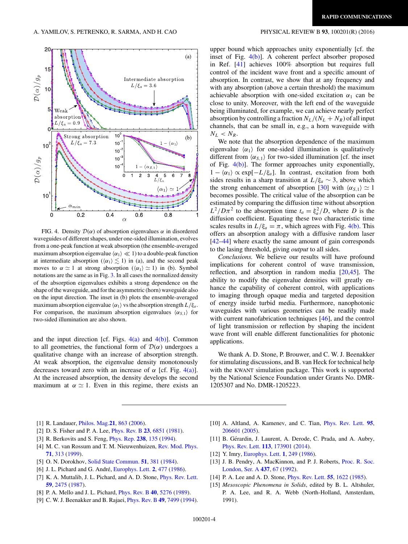### <span id="page-4-0"></span>20  $(a)$ 15  $\mathcal{D}(\alpha)/g_p$ Intermediate absorption  $L/\xi_a=3.6$  $10$  $5<sub>l</sub>$ Weak absorption  $L/\xi_a=0.9$ C  $10$ Strong absorption  $(b)$  $L/\xi_a=7.3$  $10$  $-\langle \alpha_1 \rangle$  $10<sup>7</sup>$  $10$  $\mathcal{D}\left( \alpha\right) /g_{p}$  $10$  $10<sup>1</sup>$  $\mathsf{C}$ G 5  $10$  $0.2$  $0.4$  $0.6$  $\Omega$  $0.8$  $\alpha$

FIG. 4. Density  $\mathcal{D}(\alpha)$  of absorption eigenvalues  $\alpha$  in disordered waveguides of different shapes, under one-sided illumination, evolves from a one-peak function at weak absorption (the ensemble-averaged maximum absorption eigenvalue  $\langle \alpha_1 \rangle \ll 1$ ) to a double-peak function at intermediate absorption  $(\langle \alpha_1 \rangle \lesssim 1)$  in (a), and the second peak moves to  $\alpha \simeq 1$  at strong absorption ( $\langle \alpha_1 \rangle \simeq 1$ ) in (b). Symbol notations are the same as in Fig. [3.](#page-3-0) In all cases the normalized density of the absorption eigenvalues exhibits a strong dependence on the shape of the waveguide, and for the asymmetric (horn) waveguide also on the input direction. The inset in (b) plots the ensemble-averaged maximum absorption eigenvalue  $\langle \alpha_1 \rangle$  vs the absorption strength  $L/\xi_a$ . For comparison, the maximum absorption eigenvalues  $\langle \alpha_{s,1} \rangle$  for two-sided illumination are also shown.

and the input direction [cf. Figs.  $4(a)$  and  $4(b)$ ]. Common to all geometries, the functional form of  $\mathcal{D}(\alpha)$  undergoes a qualitative change with an increase of absorption strength. At weak absorption, the eigenvalue density monotonously decreases toward zero with an increase of  $\alpha$  [cf. Fig. 4(a)]. At the increased absorption, the density develops the second maximum at  $\alpha \simeq 1$ . Even in this regime, there exists an upper bound which approaches unity exponentially [cf. the inset of Fig. 4(b)]. A coherent perfect absorber proposed in Ref. [\[41\]](#page-5-0) achieves 100% absorption but requires full control of the incident wave front and a specific amount of absorption. In contrast, we show that at any frequency and with any absorption (above a certain threshold) the maximum achievable absorption with one-sided excitation  $\alpha_1$  can be close to unity. Moreover, with the left end of the waveguide being illuminated, for example, we can achieve nearly perfect absorption by controlling a fraction  $N_L/(N_L + N_R)$  of all input channels, that can be small in, e.g., a horn waveguide with  $N_L$  <  $N_R$ .

We note that the absorption dependence of the maximum eigenvalue  $\langle \alpha_1 \rangle$  for one-sided illumination is qualitatively different from  $\langle \alpha_{s,1} \rangle$  for two-sided illumination [cf. the inset of Fig. 4(b)]. The former approaches unity exponentially,  $1 - \langle \alpha_1 \rangle \propto \exp[-L/\xi_a]$ . In contrast, excitation from both sides results in a sharp transition at  $L/\xi_a \sim 3$ , above which the strong enhancement of absorption [\[30\]](#page-5-0) with  $\langle \alpha_{S,1} \rangle \simeq 1$ becomes possible. The critical value of the absorption can be estimated by comparing the diffusion time without absorption  $L^2/D\pi^2$  to the absorption time  $t_a = \xi_a^2/D$ , where *D* is the diffusion coefficient. Equating these two characteristic time scales results in  $L/\xi_a = \pi$ , which agrees with Fig. 4(b). This offers an absorption analogy with a diffusive random laser [\[42–44\]](#page-5-0) where exactly the same amount of gain corresponds to the lasing threshold, giving *output* to all sides.

*Conclusions.* We believe our results will have profound implications for coherent control of wave transmission, reflection, and absorption in random media [\[20,45\]](#page-5-0). The ability to modify the eigenvalue densities will greatly enhance the capability of coherent control, with applications to imaging through opaque media and targeted deposition of energy inside turbid media. Furthermore, nanophotonic waveguides with various geometries can be readily made with current nanofabrication techniques [\[46\]](#page-5-0), and the control of light transmission or reflection by shaping the incident wave front will enable different functionalities for photonic applications.

We thank A. D. Stone, P. Brouwer, and C. W. J. Beenakker for stimulating discussions, and B. van Heck for technical help with the KWANT simulation package. This work is supported by the National Science Foundation under Grants No. DMR-1205307 and No. DMR-1205223.

- [1] R. Landauer, [Philos. Mag.](http://dx.doi.org/10.1080/14786437008238472)**[21](http://dx.doi.org/10.1080/14786437008238472)**, [863](http://dx.doi.org/10.1080/14786437008238472) [\(2006\)](http://dx.doi.org/10.1080/14786437008238472).
- [2] D. S. Fisher and P. A. Lee, [Phys. Rev. B](http://dx.doi.org/10.1103/PhysRevB.23.6851) **[23](http://dx.doi.org/10.1103/PhysRevB.23.6851)**, [6851](http://dx.doi.org/10.1103/PhysRevB.23.6851) [\(1981\)](http://dx.doi.org/10.1103/PhysRevB.23.6851).
- [3] R. Berkovits and S. Feng, [Phys. Rep.](http://dx.doi.org/10.1016/0370-1573(94)90079-5) **[238](http://dx.doi.org/10.1016/0370-1573(94)90079-5)**, [135](http://dx.doi.org/10.1016/0370-1573(94)90079-5) [\(1994\)](http://dx.doi.org/10.1016/0370-1573(94)90079-5).
- [4] M. C. van Rossum and T. M. Nieuwenhuizen, [Rev. Mod. Phys.](http://dx.doi.org/10.1103/RevModPhys.71.313) **[71](http://dx.doi.org/10.1103/RevModPhys.71.313)**, [313](http://dx.doi.org/10.1103/RevModPhys.71.313) [\(1999\)](http://dx.doi.org/10.1103/RevModPhys.71.313).
- [5] O. N. Dorokhov, [Solid State Commun.](http://dx.doi.org/10.1016/0038-1098(84)90117-0) **[51](http://dx.doi.org/10.1016/0038-1098(84)90117-0)**, [381](http://dx.doi.org/10.1016/0038-1098(84)90117-0) [\(1984\)](http://dx.doi.org/10.1016/0038-1098(84)90117-0).
- [6] J. L. Pichard and G. André, [Europhys. Lett.](http://dx.doi.org/10.1209/0295-5075/2/6/011) **[2](http://dx.doi.org/10.1209/0295-5075/2/6/011)**, [477](http://dx.doi.org/10.1209/0295-5075/2/6/011) [\(1986\)](http://dx.doi.org/10.1209/0295-5075/2/6/011).
- [7] K. A. Muttalib, J. L. Pichard, and A. D. Stone, [Phys. Rev. Lett.](http://dx.doi.org/10.1103/PhysRevLett.59.2475) **[59](http://dx.doi.org/10.1103/PhysRevLett.59.2475)**, [2475](http://dx.doi.org/10.1103/PhysRevLett.59.2475) [\(1987\)](http://dx.doi.org/10.1103/PhysRevLett.59.2475).
- [8] P. A. Mello and J. L. Pichard, [Phys. Rev. B](http://dx.doi.org/10.1103/PhysRevB.40.5276) **[40](http://dx.doi.org/10.1103/PhysRevB.40.5276)**, [5276](http://dx.doi.org/10.1103/PhysRevB.40.5276) [\(1989\)](http://dx.doi.org/10.1103/PhysRevB.40.5276).
- [9] C. W. J. Beenakker and B. Rajaei, [Phys. Rev. B](http://dx.doi.org/10.1103/PhysRevB.49.7499) **[49](http://dx.doi.org/10.1103/PhysRevB.49.7499)**, [7499](http://dx.doi.org/10.1103/PhysRevB.49.7499) [\(1994\)](http://dx.doi.org/10.1103/PhysRevB.49.7499).
- [10] A. Altland, A. Kamenev, and C. Tian, [Phys. Rev. Lett.](http://dx.doi.org/10.1103/PhysRevLett.95.206601) **[95](http://dx.doi.org/10.1103/PhysRevLett.95.206601)**, [206601](http://dx.doi.org/10.1103/PhysRevLett.95.206601) [\(2005\)](http://dx.doi.org/10.1103/PhysRevLett.95.206601).
- [11] B. Gérardin, J. Laurent, A. Derode, C. Prada, and A. Aubry, [Phys. Rev. Lett.](http://dx.doi.org/10.1103/PhysRevLett.113.173901) **[113](http://dx.doi.org/10.1103/PhysRevLett.113.173901)**, [173901](http://dx.doi.org/10.1103/PhysRevLett.113.173901) [\(2014\)](http://dx.doi.org/10.1103/PhysRevLett.113.173901).
- [12] Y. Imry, [Europhys. Lett.](http://dx.doi.org/10.1209/0295-5075/1/5/008) **[1](http://dx.doi.org/10.1209/0295-5075/1/5/008)**, [249](http://dx.doi.org/10.1209/0295-5075/1/5/008) [\(1986\)](http://dx.doi.org/10.1209/0295-5075/1/5/008).
- [13] [J. B. Pendry, A. MacKinnon, and P. J. Roberts,](http://dx.doi.org/10.1098/rspa.1992.0047) Proc. R. Soc. London, Ser. A **[437](http://dx.doi.org/10.1098/rspa.1992.0047)**, [67](http://dx.doi.org/10.1098/rspa.1992.0047) [\(1992\)](http://dx.doi.org/10.1098/rspa.1992.0047).
- [14] P. A. Lee and A. D. Stone, [Phys. Rev. Lett.](http://dx.doi.org/10.1103/PhysRevLett.55.1622) **[55](http://dx.doi.org/10.1103/PhysRevLett.55.1622)**, [1622](http://dx.doi.org/10.1103/PhysRevLett.55.1622) [\(1985\)](http://dx.doi.org/10.1103/PhysRevLett.55.1622).
- [15] *Mesoscopic Phenomena in Solids*, edited by B. L. Altshuler, P. A. Lee, and R. A. Webb (North-Holland, Amsterdam, 1991).